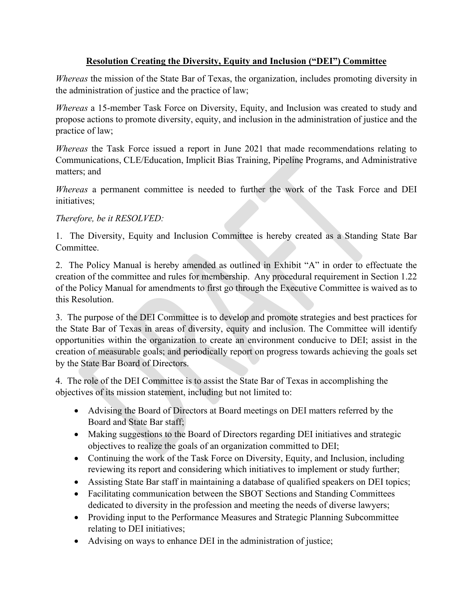# **Resolution Creating the Diversity, Equity and Inclusion ("DEI") Committee**

*Whereas* the mission of the State Bar of Texas, the organization, includes promoting diversity in the administration of justice and the practice of law;

*Whereas* a 15-member Task Force on Diversity, Equity, and Inclusion was created to study and propose actions to promote diversity, equity, and inclusion in the administration of justice and the practice of law;

*Whereas* the Task Force issued a report in June 2021 that made recommendations relating to Communications, CLE/Education, Implicit Bias Training, Pipeline Programs, and Administrative matters; and

*Whereas* a permanent committee is needed to further the work of the Task Force and DEI initiatives;

## *Therefore, be it RESOLVED:*

1. The Diversity, Equity and Inclusion Committee is hereby created as a Standing State Bar Committee.

2. The Policy Manual is hereby amended as outlined in Exhibit "A" in order to effectuate the creation of the committee and rules for membership. Any procedural requirement in Section 1.22 of the Policy Manual for amendments to first go through the Executive Committee is waived as to this Resolution.

3. The purpose of the DEI Committee is to develop and promote strategies and best practices for the State Bar of Texas in areas of diversity, equity and inclusion. The Committee will identify opportunities within the organization to create an environment conducive to DEI; assist in the creation of measurable goals; and periodically report on progress towards achieving the goals set by the State Bar Board of Directors.

4. The role of the DEI Committee is to assist the State Bar of Texas in accomplishing the objectives of its mission statement, including but not limited to:

- Advising the Board of Directors at Board meetings on DEI matters referred by the Board and State Bar staff;
- Making suggestions to the Board of Directors regarding DEI initiatives and strategic objectives to realize the goals of an organization committed to DEI;
- Continuing the work of the Task Force on Diversity, Equity, and Inclusion, including reviewing its report and considering which initiatives to implement or study further;
- Assisting State Bar staff in maintaining a database of qualified speakers on DEI topics;
- Facilitating communication between the SBOT Sections and Standing Committees dedicated to diversity in the profession and meeting the needs of diverse lawyers;
- Providing input to the Performance Measures and Strategic Planning Subcommittee relating to DEI initiatives;
- Advising on ways to enhance DEI in the administration of justice;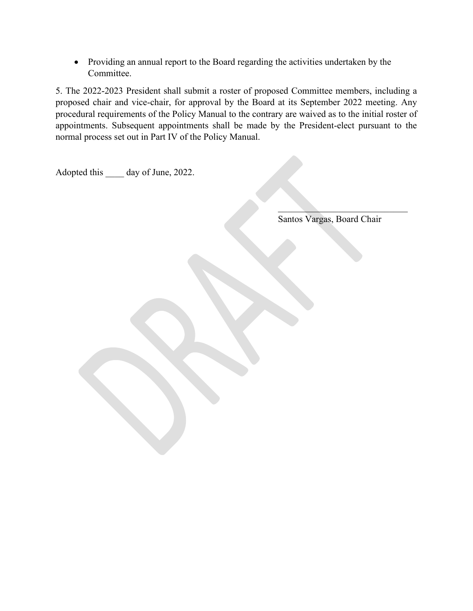• Providing an annual report to the Board regarding the activities undertaken by the Committee.

5. The 2022-2023 President shall submit a roster of proposed Committee members, including a proposed chair and vice-chair, for approval by the Board at its September 2022 meeting. Any procedural requirements of the Policy Manual to the contrary are waived as to the initial roster of appointments. Subsequent appointments shall be made by the President-elect pursuant to the normal process set out in Part IV of the Policy Manual.

Adopted this \_\_\_\_ day of June, 2022.

Santos Vargas, Board Chair

 $\mathcal{L}=\mathcal{L}$  , we can also the contribution of the contribution of  $\mathcal{L}=\mathcal{L}$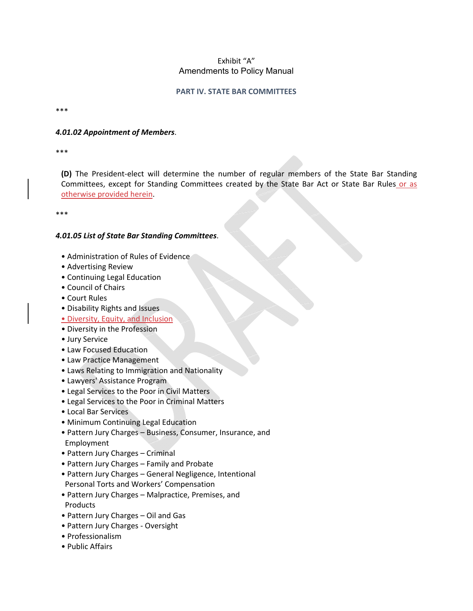### Exhibit "A" Amendments to Policy Manual

#### **PART IV. STATE BAR COMMITTEES**

\*\*\*

#### *4.01.02 Appointment of Members*.

\*\*\*

**(D)** The President‐elect will determine the number of regular members of the State Bar Standing Committees, except for Standing Committees created by the State Bar Act or State Bar Rules or as otherwise provided herein.

\*\*\*

#### *4.01.05 List of State Bar Standing Committees*.

- Administration of Rules of Evidence
- Advertising Review
- Continuing Legal Education
- Council of Chairs
- Court Rules
- Disability Rights and Issues
- Diversity, Equity, and Inclusion
- Diversity in the Profession
- Jury Service
- Law Focused Education
- Law Practice Management
- Laws Relating to Immigration and Nationality
- Lawyers' Assistance Program
- Legal Services to the Poor in Civil Matters
- Legal Services to the Poor in Criminal Matters
- Local Bar Services
- Minimum Continuing Legal Education
- Pattern Jury Charges Business, Consumer, Insurance, and Employment
- Pattern Jury Charges Criminal
- Pattern Jury Charges Family and Probate
- Pattern Jury Charges General Negligence, Intentional Personal Torts and Workers' Compensation
- Pattern Jury Charges Malpractice, Premises, and Products
- Pattern Jury Charges Oil and Gas
- Pattern Jury Charges ‐ Oversight
- Professionalism
- Public Affairs